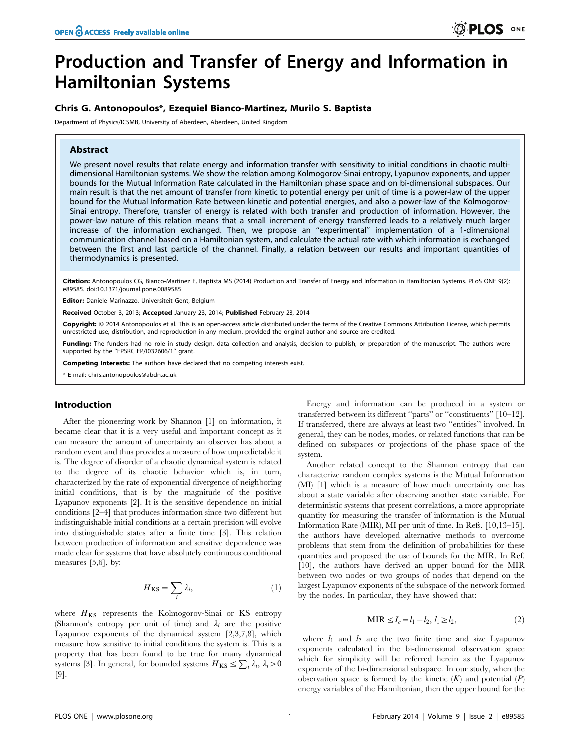# Production and Transfer of Energy and Information in Hamiltonian Systems

## Chris G. Antonopoulos\*, Ezequiel Bianco-Martinez, Murilo S. Baptista

Department of Physics/ICSMB, University of Aberdeen, Aberdeen, United Kingdom

## Abstract

We present novel results that relate energy and information transfer with sensitivity to initial conditions in chaotic multidimensional Hamiltonian systems. We show the relation among Kolmogorov-Sinai entropy, Lyapunov exponents, and upper bounds for the Mutual Information Rate calculated in the Hamiltonian phase space and on bi-dimensional subspaces. Our main result is that the net amount of transfer from kinetic to potential energy per unit of time is a power-law of the upper bound for the Mutual Information Rate between kinetic and potential energies, and also a power-law of the Kolmogorov-Sinai entropy. Therefore, transfer of energy is related with both transfer and production of information. However, the power-law nature of this relation means that a small increment of energy transferred leads to a relatively much larger increase of the information exchanged. Then, we propose an ''experimental'' implementation of a 1-dimensional communication channel based on a Hamiltonian system, and calculate the actual rate with which information is exchanged between the first and last particle of the channel. Finally, a relation between our results and important quantities of thermodynamics is presented.

Citation: Antonopoulos CG, Bianco-Martinez E, Baptista MS (2014) Production and Transfer of Energy and Information in Hamiltonian Systems. PLoS ONE 9(2): e89585. doi:10.1371/journal.pone.0089585

Editor: Daniele Marinazzo, Universiteit Gent, Belgium

Received October 3, 2013; Accepted January 23, 2014; Published February 28, 2014

Copyright: © 2014 Antonopoulos et al. This is an open-access article distributed under the terms of the [Creative Commons Attribution License](http://creativecommons.org/licenses/by/4.0/), which permits unrestricted use, distribution, and reproduction in any medium, provided the original author and source are credited.

Funding: The funders had no role in study design, data collection and analysis, decision to publish, or preparation of the manuscript. The authors were supported by the ''EPSRC EP/I032606/1'' grant.

Competing Interests: The authors have declared that no competing interests exist.

\* E-mail: chris.antonopoulos@abdn.ac.uk

#### Introduction

After the pioneering work by Shannon [1] on information, it became clear that it is a very useful and important concept as it can measure the amount of uncertainty an observer has about a random event and thus provides a measure of how unpredictable it is. The degree of disorder of a chaotic dynamical system is related to the degree of its chaotic behavior which is, in turn, characterized by the rate of exponential divergence of neighboring initial conditions, that is by the magnitude of the positive Lyapunov exponents [2]. It is the sensitive dependence on initial conditions [2–4] that produces information since two different but indistinguishable initial conditions at a certain precision will evolve into distinguishable states after a finite time [3]. This relation between production of information and sensitive dependence was made clear for systems that have absolutely continuous conditional measures [5,6], by:

$$
H_{\rm KS} = \sum_{i} \lambda_i, \tag{1}
$$

where  $H_{KS}$  represents the Kolmogorov-Sinai or KS entropy (Shannon's entropy per unit of time) and  $\lambda_i$  are the positive Lyapunov exponents of the dynamical system [2,3,7,8], which measure how sensitive to initial conditions the system is. This is a property that has been found to be true for many dynamical systems [3]. In general, for bounded systems  $H_{KS} \le \sum_i \lambda_i$ ,  $\lambda_i > 0$ [9].

Energy and information can be produced in a system or transferred between its different ''parts'' or ''constituents'' [10–12]. If transferred, there are always at least two ''entities'' involved. In general, they can be nodes, modes, or related functions that can be defined on subspaces or projections of the phase space of the system.

Another related concept to the Shannon entropy that can characterize random complex systems is the Mutual Information (MI) [1] which is a measure of how much uncertainty one has about a state variable after observing another state variable. For deterministic systems that present correlations, a more appropriate quantity for measuring the transfer of information is the Mutual Information Rate (MIR), MI per unit of time. In Refs. [10,13–15], the authors have developed alternative methods to overcome problems that stem from the definition of probabilities for these quantities and proposed the use of bounds for the MIR. In Ref. [10], the authors have derived an upper bound for the MIR between two nodes or two groups of nodes that depend on the largest Lyapunov exponents of the subspace of the network formed by the nodes. In particular, they have showed that:

$$
MIR \le I_c = l_1 - l_2, l_1 \ge l_2,
$$
\n(2)

where  $l_1$  and  $l_2$  are the two finite time and size Lyapunov exponents calculated in the bi-dimensional observation space which for simplicity will be referred herein as the Lyapunov exponents of the bi-dimensional subspace. In our study, when the observation space is formed by the kinetic  $(K)$  and potential  $(P)$ energy variables of the Hamiltonian, then the upper bound for the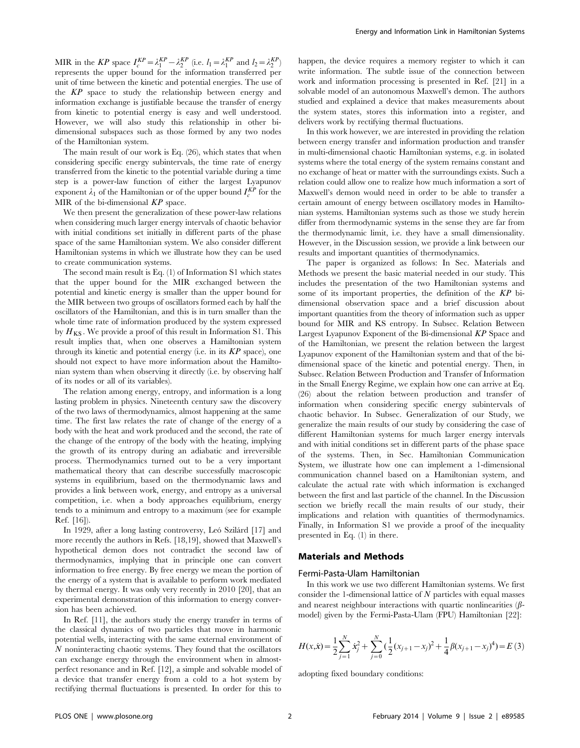MIR in the KP space  $I_c^{KP} = \lambda_1^{KP} - \lambda_2^{KP}$  (i.e.  $l_1 = \lambda_1^{KP}$  and  $l_2 = \lambda_2^{KP}$ ) represents the upper bound for the information transferred per unit of time between the kinetic and potential energies. The use of the KP space to study the relationship between energy and information exchange is justifiable because the transfer of energy from kinetic to potential energy is easy and well understood. However, we will also study this relationship in other bidimensional subspaces such as those formed by any two nodes of the Hamiltonian system.

The main result of our work is Eq. (26), which states that when considering specific energy subintervals, the time rate of energy transferred from the kinetic to the potential variable during a time step is a power-law function of either the largest Lyapunov exponent  $\lambda_1$  of the Hamiltonian or of the upper bound  $I_c^{KP}$  for the MIR of the bi-dimensional  $KP$  space.

We then present the generalization of these power-law relations when considering much larger energy intervals of chaotic behavior with initial conditions set initially in different parts of the phase space of the same Hamiltonian system. We also consider different Hamiltonian systems in which we illustrate how they can be used to create communication systems.

The second main result is Eq. (1) of Information S1 which states that the upper bound for the MIR exchanged between the potential and kinetic energy is smaller than the upper bound for the MIR between two groups of oscillators formed each by half the oscillators of the Hamiltonian, and this is in turn smaller than the whole time rate of information produced by the system expressed by  $H_{KS}$ . We provide a proof of this result in Information S1. This result implies that, when one observes a Hamiltonian system through its kinetic and potential energy (i.e. in its  $KP$  space), one should not expect to have more information about the Hamiltonian system than when observing it directly (i.e. by observing half of its nodes or all of its variables).

The relation among energy, entropy, and information is a long lasting problem in physics. Nineteenth century saw the discovery of the two laws of thermodynamics, almost happening at the same time. The first law relates the rate of change of the energy of a body with the heat and work produced and the second, the rate of the change of the entropy of the body with the heating, implying the growth of its entropy during an adiabatic and irreversible process. Thermodynamics turned out to be a very important mathematical theory that can describe successfully macroscopic systems in equilibrium, based on the thermodynamic laws and provides a link between work, energy, and entropy as a universal competition, i.e. when a body approaches equilibrium, energy tends to a minimum and entropy to a maximum (see for example Ref. [16]).

In 1929, after a long lasting controversy, Leó Szilárd [17] and more recently the authors in Refs. [18,19], showed that Maxwell's hypothetical demon does not contradict the second law of thermodynamics, implying that in principle one can convert information to free energy. By free energy we mean the portion of the energy of a system that is available to perform work mediated by thermal energy. It was only very recently in 2010 [20], that an experimental demonstration of this information to energy conversion has been achieved.

In Ref. [11], the authors study the energy transfer in terms of the classical dynamics of two particles that move in harmonic potential wells, interacting with the same external environment of N noninteracting chaotic systems. They found that the oscillators can exchange energy through the environment when in almostperfect resonance and in Ref. [12], a simple and solvable model of a device that transfer energy from a cold to a hot system by rectifying thermal fluctuations is presented. In order for this to happen, the device requires a memory register to which it can write information. The subtle issue of the connection between work and information processing is presented in Ref. [21] in a solvable model of an autonomous Maxwell's demon. The authors studied and explained a device that makes measurements about the system states, stores this information into a register, and delivers work by rectifying thermal fluctuations.

In this work however, we are interested in providing the relation between energy transfer and information production and transfer in multi-dimensional chaotic Hamiltonian systems, e.g. in isolated systems where the total energy of the system remains constant and no exchange of heat or matter with the surroundings exists. Such a relation could allow one to realize how much information a sort of Maxwell's demon would need in order to be able to transfer a certain amount of energy between oscillatory modes in Hamiltonian systems. Hamiltonian systems such as those we study herein differ from thermodynamic systems in the sense they are far from the thermodynamic limit, i.e. they have a small dimensionality. However, in the Discussion session, we provide a link between our results and important quantities of thermodynamics.

The paper is organized as follows: In Sec. Materials and Methods we present the basic material needed in our study. This includes the presentation of the two Hamiltonian systems and some of its important properties, the definition of the KP bidimensional observation space and a brief discussion about important quantities from the theory of information such as upper bound for MIR and KS entropy. In Subsec. Relation Between Largest Lyapunov Exponent of the Bi-dimensional KP Space and of the Hamiltonian, we present the relation between the largest Lyapunov exponent of the Hamiltonian system and that of the bidimensional space of the kinetic and potential energy. Then, in Subsec. Relation Between Production and Transfer of Information in the Small Energy Regime, we explain how one can arrive at Eq. (26) about the relation between production and transfer of information when considering specific energy subintervals of chaotic behavior. In Subsec. Generalization of our Study, we generalize the main results of our study by considering the case of different Hamiltonian systems for much larger energy intervals and with initial conditions set in different parts of the phase space of the systems. Then, in Sec. Hamiltonian Communication System, we illustrate how one can implement a 1-dimensional communication channel based on a Hamiltonian system, and calculate the actual rate with which information is exchanged between the first and last particle of the channel. In the Discussion section we briefly recall the main results of our study, their implications and relation with quantities of thermodynamics. Finally, in Information S1 we provide a proof of the inequality presented in Eq. (1) in there.

# Materials and Methods

#### Fermi-Pasta-Ulam Hamiltonian

In this work we use two different Hamiltonian systems. We first consider the 1-dimensional lattice of  $N$  particles with equal masses and nearest neighbour interactions with quartic nonlinearities  $(\beta$ model) given by the Fermi-Pasta-Ulam (FPU) Hamiltonian [22]:

$$
H(x,\dot{x}) = \frac{1}{2} \sum_{j=1}^{N} \dot{x}_j^2 + \sum_{j=0}^{N} \left(\frac{1}{2} (x_{j+1} - x_j)^2 + \frac{1}{4} \beta (x_{j+1} - x_j)^4\right) = E(3)
$$

adopting fixed boundary conditions: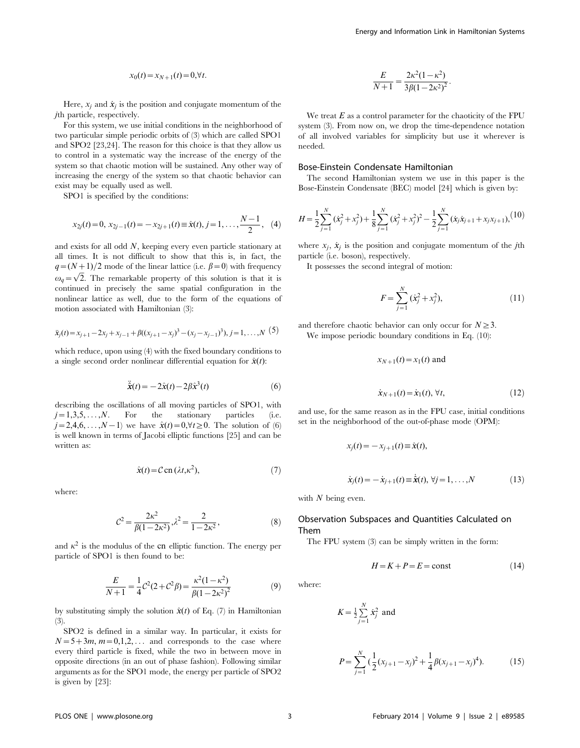$$
x_0(t) = x_{N+1}(t) = 0, \forall t.
$$

Here,  $x_i$  and  $\dot{x}_j$  is the position and conjugate momentum of the jth particle, respectively.

For this system, we use initial conditions in the neighborhood of two particular simple periodic orbits of (3) which are called SPO1 and SPO2 [23,24]. The reason for this choice is that they allow us to control in a systematic way the increase of the energy of the system so that chaotic motion will be sustained. Any other way of increasing the energy of the system so that chaotic behavior can exist may be equally used as well.

SPO1 is specified by the conditions:

$$
x_{2j}(t) = 0, x_{2j-1}(t) = -x_{2j+1}(t) \equiv \hat{x}(t), j = 1, \ldots, \frac{N-1}{2}, (4)
$$

and exists for all odd N, keeping every even particle stationary at all times. It is not difficult to show that this is, in fact, the  $q=(N+1)/2$  mode of the linear lattice (i.e.  $\beta=0$ ) with frequency  $\omega_q = \sqrt{2}$ . The remarkable property of this solution is that it is continued in precisely the same spatial configuration in the nonlinear lattice as well, due to the form of the equations of motion associated with Hamiltonian (3):

$$
\ddot{x}_j(t) = x_{j+1} - 2x_j + x_{j-1} + \beta((x_{j+1} - x_j)^3 - (x_j - x_{j-1})^3), j = 1, ..., N
$$
 (5)

which reduce, upon using (4) with the fixed boundary conditions to a single second order nonlinear differential equation for  $\hat{x}(t)$ :

$$
\ddot{\hat{\mathbf{x}}}(t) = -2\hat{\mathbf{x}}(t) - 2\beta \hat{\mathbf{x}}^3(t) \tag{6}
$$

describing the oscillations of all moving particles of SPO1, with  $j=1,3,5,\ldots,N$ . For the stationary particles (i.e.  $j=2,4,6,\ldots, N-1$  we have  $\hat{x}(t)=0,\forall t\geq0$ . The solution of (6) is well known in terms of Jacobi elliptic functions [25] and can be written as:

$$
\hat{\mathbf{x}}(t) = \mathcal{C} \operatorname{cn}(\lambda t, \kappa^2),\tag{7}
$$

where:

$$
\mathcal{C}^2 = \frac{2\kappa^2}{\beta(1 - 2\kappa^2)}, \lambda^2 = \frac{2}{1 - 2\kappa^2},
$$
\n(8)

and  $\kappa^2$  is the modulus of the cn elliptic function. The energy per particle of SPO1 is then found to be:

$$
\frac{E}{N+1} = \frac{1}{4}C^2(2+C^2\beta) = \frac{\kappa^2(1-\kappa^2)}{\beta(1-2\kappa^2)^2}
$$
(9)

by substituting simply the solution  $\hat{x}(t)$  of Eq. (7) in Hamiltonian (3).

SPO2 is defined in a similar way. In particular, it exists for  $N=5+3m$ ,  $m=0,1,2,...$  and corresponds to the case where every third particle is fixed, while the two in between move in opposite directions (in an out of phase fashion). Following similar arguments as for the SPO1 mode, the energy per particle of SPO2 is given by [23]:

$$
\frac{E}{N+1} = \frac{2\kappa^2(1-\kappa^2)}{3\beta(1-2\kappa^2)^2}.
$$

We treat  $E$  as a control parameter for the chaoticity of the FPU system (3). From now on, we drop the time-dependence notation of all involved variables for simplicity but use it wherever is needed.

## Bose-Einstein Condensate Hamiltonian

The second Hamiltonian system we use in this paper is the Bose-Einstein Condensate (BEC) model [24] which is given by:

$$
H = \frac{1}{2} \sum_{j=1}^{N} (\dot{x}_j^2 + x_j^2) + \frac{1}{8} \sum_{j=1}^{N} (\dot{x}_j^2 + x_j^2)^2 - \frac{1}{2} \sum_{j=1}^{N} (\dot{x}_j \dot{x}_{j+1} + x_j x_{j+1}),
$$
(10)

where  $x_i$ ,  $\dot{x}_i$  is the position and conjugate momentum of the *j*th particle (i.e. boson), respectively.

It possesses the second integral of motion:

$$
F = \sum_{j=1}^{N} (\dot{x}_j^2 + x_j^2),
$$
\n(11)

and therefore chaotic behavior can only occur for  $N \geq 3$ . We impose periodic boundary conditions in Eq. (10):

$$
x_{N+1}(t) = x_1(t)
$$
 and

$$
\dot{x}_{N+1}(t) = \dot{x}_1(t), \,\forall t,\tag{12}
$$

and use, for the same reason as in the FPU case, initial conditions set in the neighborhood of the out-of-phase mode (OPM):

$$
x_j(t) = -x_{j+1}(t) \equiv \hat{x}(t),
$$
  

$$
\dot{x}_j(t) = -\dot{x}_{j+1}(t) \equiv \dot{\hat{x}}(t), \forall j = 1, ..., N
$$
 (13)

with  $N$  being even.

# Observation Subspaces and Quantities Calculated on Them

The FPU system (3) can be simply written in the form:

$$
H = K + P = E = \text{const} \tag{14}
$$

where:

$$
K = \frac{1}{2} \sum_{j=1}^{N} \dot{x}_j^2 \text{ and}
$$
  

$$
P = \sum_{j=1}^{N} \left(\frac{1}{2} (x_{j+1} - x_j)^2 + \frac{1}{4} \beta (x_{j+1} - x_j)^4\right).
$$
 (15)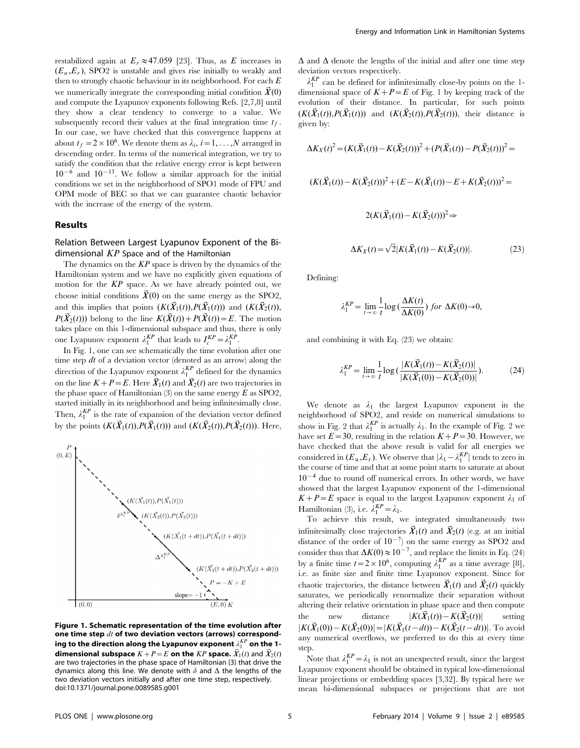restabilized again at  $E_r \approx 47.059$  [23]. Thus, as E increases in  $(E_u, E_r)$ , SPO2 is unstable and gives rise initially to weakly and then to strongly chaotic behaviour in its neighborhood. For each  $E$ we numerically integrate the corresponding initial condition  $\vec{X}(0)$ and compute the Lyapunov exponents following Refs. [2,7,8] until they show a clear tendency to converge to a value. We subsequently record their values at the final integration time  $t_f$ . In our case, we have checked that this convergence happens at about  $t_f = 2 \times 10^6$ . We denote them as  $\lambda_i$ ,  $i = 1, ..., N$  arranged in descending order. In terms of the numerical integration, we try to satisfy the condition that the relative energy error is kept between  $10^{-6}$  and  $10^{-13}$ . We follow a similar approach for the initial conditions we set in the neighborhood of SPO1 mode of FPU and OPM mode of BEC so that we can guarantee chaotic behavior with the increase of the energy of the system.

### Results

# Relation Between Largest Lyapunov Exponent of the Bidimensional  $KP$  Space and of the Hamiltonian

The dynamics on the  $KP$  space is driven by the dynamics of the Hamiltonian system and we have no explicitly given equations of motion for the KP space. As we have already pointed out, we choose initial conditions  $\vec{X}(0)$  on the same energy as the SPO2, and this implies that points  $(K(\vec{X}_1(t)), P(\vec{X}_1(t)))$  and  $(K(\vec{X}_2(t)),$  $P(\vec{X}_2(t))$  belong to the line  $K(\vec{X}(t))+P(\vec{X}(t))=E$ . The motion takes place on this 1-dimensional subspace and thus, there is only one Lyapunov exponent  $\lambda_1^{KP}$  that leads to  $I_c^{KP} = \lambda_1^{KP}$ .

In Fig. 1, one can see schematically the time evolution after one time step  $dt$  of a deviation vector (denoted as an arrow) along the direction of the Lyapunov exponent  $\lambda_1^{KP}$  defined for the dynamics on the line  $K+P=E$ . Here  $\vec{X}_1(t)$  and  $\vec{X}_2(t)$  are two trajectories in the phase space of Hamiltonian (3) on the same energy  $\overline{E}$  as SPO2, started initially in its neighborhood and being infinitesimally close. Then,  $\lambda_1^{KP}$  is the rate of expansion of the deviation vector defined by the points  $(K(\vec{X}_1(t)), P(\vec{X}_1(t)))$  and  $(K(\vec{X}_2(t)), P(\vec{X}_2(t)))$ . Here,



Figure 1. Schematic representation of the time evolution after one time step  $dt$  of two deviation vectors (arrows) corresponding to the direction along the Lyapunov exponent  $\lambda_1^{KP}$  on the 1**dimensional subspace**  $K+P=E$  on the KP space.  $\vec{X}_1(t)$  and  $\vec{X}_2(t)$ are two trajectories in the phase space of Hamiltonian (3) that drive the dynamics along this line. We denote with  $\delta$  and  $\Delta$  the lengths of the two deviation vectors initially and after one time step, respectively. doi:10.1371/journal.pone.0089585.g001

 $\Delta$  and  $\Delta$  denote the lengths of the initial and after one time step deviation vectors respectively.

 $\lambda_1^{KP}$  can be defined for infinitesimally close-by points on the 1dimensional space of  $K+P=E$  of Fig. 1 by keeping track of the evolution of their distance. In particular, for such points  $(K(\vec{X}_1(t)),P(\vec{X}_1(t)))$  and  $(K(\vec{X}_2(t)),P(\vec{X}_2(t)))$ , their distance is given by:

$$
\Delta K_X(t)^2 = (K(\vec{X}_1(t)) - K(\vec{X}_2(t)))^2 + (P(\vec{X}_1(t)) - P(\vec{X}_2(t)))^2 =
$$
  

$$
(K(\vec{X}_1(t)) - K(\vec{X}_2(t)))^2 + (E - K(\vec{X}_1(t)) - E + K(\vec{X}_2(t)))^2 =
$$
  

$$
2(K(\vec{X}_1(t)) - K(\vec{X}_2(t)))^2 \Rightarrow
$$
  

$$
\Delta K_X(t) = \sqrt{2}|K(\vec{X}_1(t)) - K(\vec{X}_2(t))|.
$$
 (23)

Defining:

$$
\lambda_1^{KP} = \lim_{t \to \infty} \frac{1}{t} \log \left( \frac{\Delta K(t)}{\Delta K(0)} \right) \text{ for } \Delta K(0) \to 0,
$$

and combining it with Eq. (23) we obtain:

$$
\lambda_1^{KP} = \lim_{t \to \infty} \frac{1}{t} \log \left( \frac{|K(\vec{X}_1(t)) - K(\vec{X}_2(t))|}{|K(\vec{X}_1(0)) - K(\vec{X}_2(0))|} \right).
$$
(24)

We denote as  $\lambda_1$  the largest Lyapunov exponent in the neighborhood of SPO2, and reside on numerical simulations to show in Fig. 2 that  $\lambda_1^{KP}$  is actually  $\lambda_1$ . In the example of Fig. 2 we have set  $E=30$ , resulting in the relation  $K+P=30$ . However, we have checked that the above result is valid for all energies we considered in  $(E_u, E_r)$ . We observe that  $|\lambda_1 - \lambda_1^{KP}|$  tends to zero in the course of time and that at some point starts to saturate at about  $10^{-4}$  due to round off numerical errors. In other words, we have showed that the largest Lyapunov exponent of the 1-dimensional  $K+P=E$  space is equal to the largest Lyapunov exponent  $\lambda_1$  of Hamiltonian (3), i.e.  $\lambda_1^{KP} = \lambda_1$ .

To achieve this result, we integrated simultaneously two infinitesimally close trajectories  $\vec{X}_1(t)$  and  $\vec{X}_2(t)$  (e.g. at an initial distance of the order of  $10^{-7}$ ) on the same energy as SPO2 and consider thus that  $\Delta K(0) \approx 10^{-7}$ , and replace the limits in Eq. (24) by a finite time  $t=2\times10^6$ , computing  $\lambda_1^{KP}$  as a time average [8], i.e. as finite size and finite time Lyapunov exponent. Since for chaotic trajectories, the distance between  $\vec{X}_1(t)$  and  $\vec{X}_2(t)$  quickly saturates, we periodically renormalize their separation without altering their relative orientation in phase space and then compute the new distance  $|K(\vec{X}_1(t))-K(\vec{X}_2(t))|$  setting  $|K(\vec{X}_1(0)) - K(\vec{X}_2(0))| = |K(\vec{X}_1(t-dt)) - K(\vec{X}_2(t-dt))|$ . To avoid any numerical overflows, we preferred to do this at every time step.

Note that  $\lambda_1^{KP} = \lambda_1$  is not an unexpected result, since the largest Lyapunov exponent should be obtained in typical low-dimensional linear projections or embedding spaces [3,32]. By typical here we mean bi-dimensional subspaces or projections that are not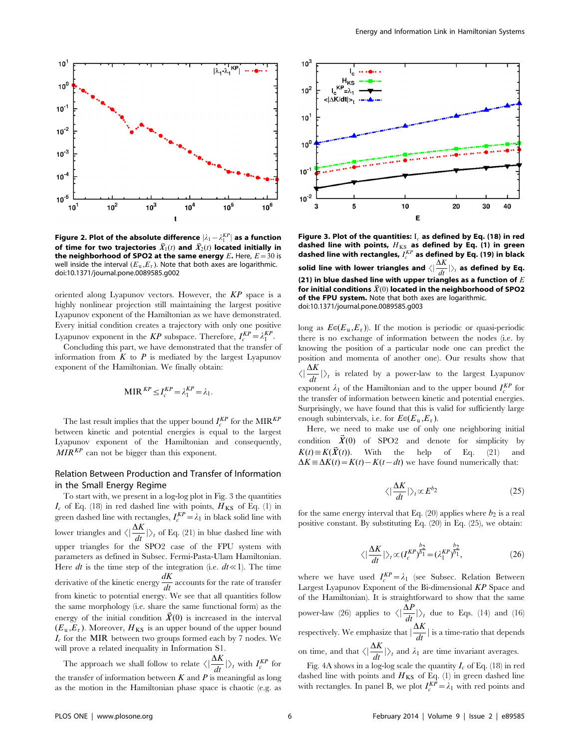

Figure 2. Plot of the absolute difference  $|\lambda_1 - \lambda_1^{KP}|$  as a function of time for two trajectories  $\vec{X}_1(t)$  and  $\vec{X}_2(t)$  located initially in the neighborhood of SPO2 at the same energy  $E$ . Here,  $E=30$  is well inside the interval  $(E_u, E_r)$ . Note that both axes are logarithmic. doi:10.1371/journal.pone.0089585.g002

oriented along Lyapunov vectors. However, the KP space is a highly nonlinear projection still maintaining the largest positive Lyapunov exponent of the Hamiltonian as we have demonstrated. Every initial condition creates a trajectory with only one positive Lyapunov exponent in the KP subspace. Therefore,  $I_c^{KP} = \lambda_1^{KP}$ .

Concluding this part, we have demonstrated that the transfer of information from  $K$  to  $P$  is mediated by the largest Lyapunov exponent of the Hamiltonian. We finally obtain:

$$
\text{MIR}^{KP} \leq I_c^{KP} = \lambda_1^{KP} = \lambda_1.
$$

The last result implies that the upper bound  $I_c^{KP}$  for the MIR<sup>KP</sup> between kinetic and potential energies is equal to the largest Lyapunov exponent of the Hamiltonian and consequently,  $MIR<sup>KP</sup>$  can not be bigger than this exponent.

# Relation Between Production and Transfer of Information in the Small Energy Regime

To start with, we present in a log-log plot in Fig. 3 the quantities  $I_c$  of Eq. (18) in red dashed line with points,  $H_{KS}$  of Eq. (1) in green dashed line with rectangles,  $I_c^{KP} = \lambda_1$  in black solid line with lower triangles and  $\langle \left| \frac{\Delta K}{dt} \right| \rangle_t$  of Eq. (21) in blue dashed line with upper triangles for the SPO2 case of the FPU system with parameters as defined in Subsec. Fermi-Pasta-Ulam Hamiltonian. Here dt is the time step of the integration (i.e.  $dt \ll 1$ ). The time derivative of the kinetic energy  $\frac{dK}{dt}$  accounts for the rate of transfer from kinetic to potential energy. We see that all quantities follow the same morphology (i.e. share the same functional form) as the energy of the initial condition  $\vec{X}(0)$  is increased in the interval  $(E_u, E_r)$ . Moreover,  $H_{KS}$  is an upper bound of the upper bound  $I_c$  for the MIR between two groups formed each by 7 nodes. We will prove a related inequality in Information S1.

The approach we shall follow to relate  $\langle \left| \frac{\Delta K}{dt} \right| \right\rangle_t$  with  $I_c^{KP}$  for the transfer of information between  $K$  and  $P$  is meaningful as long as the motion in the Hamiltonian phase space is chaotic (e.g. as



Figure 3. Plot of the quantities:  $I_c$  as defined by Eq. (18) in red dashed line with points,  $H_{KS}$  as defined by Eq. (1) in green dashed line with rectangles,  $I^{KP}_c$  as defined by Eq. (19) in black solid line with lower triangles and  $\langle |\frac{\Delta K}{dt}|\rangle_t$  as defined by Eq. (21) in blue dashed line with upper triangles as a function of  $E$ for initial conditions  $\vec{X}(0)$  located in the neighborhood of SPO2 of the FPU system. Note that both axes are logarithmic. doi:10.1371/journal.pone.0089585.g003

long as  $E\epsilon(E_u, E_r)$ ). If the motion is periodic or quasi-periodic there is no exchange of information between the nodes (i.e. by knowing the position of a particular node one can predict the position and momenta of another one). Our results show that  $\langle \vert \frac{\Delta K}{dt} \vert \rangle_t$  is related by a power-law to the largest Lyapunov exponent  $\lambda_1$  of the Hamiltonian and to the upper bound  $I_c^{KP}$  for the transfer of information between kinetic and potential energies. Surprisingly, we have found that this is valid for sufficiently large enough subintervals, i.e. for  $E \in (E_u, E_r)$ .

Here, we need to make use of only one neighboring initial condition  $\vec{X}(0)$  of SPO2 and denote for simplicity by  $K(t) \equiv K(\vec{X}(t))$ . With the help of Eq. (21) and  $\Delta K \equiv \Delta K(t) = K(t) - K(t - dt)$  we have found numerically that:

$$
\langle |\frac{\Delta K}{dt}| \rangle_t \propto E^{b_2} \tag{25}
$$

for the same energy interval that Eq. (20) applies where  $b_2$  is a real positive constant. By substituting Eq. (20) in Eq. (25), we obtain:

$$
\langle \left| \frac{\Delta K}{dt} \right| \rangle_t \propto (I_c^{KP})^{\frac{b_2}{b_1}} = (\lambda_1^{KP})^{\frac{b_2}{b_1}},\tag{26}
$$

where we have used  $I_c^{KP} = \lambda_1$  (see Subsec. Relation Between Largest Lyapunov Exponent of the Bi-dimensional KP Space and of the Hamiltonian). It is straightforward to show that the same power-law (26) applies to  $\langle |\frac{\Delta P}{dt}| \rangle_t$  due to Eqs. (14) and (16) respectively. We emphasize that  $\left|\frac{\Delta K}{dt}\right|$  is a time-ratio that depends on time, and that  $\langle \left| \frac{\Delta K}{dt} \right| \rangle_t$  and  $\lambda_1$  are time invariant averages.

Fig. 4A shows in a log-log scale the quantity  $I_c$  of Eq. (18) in red dashed line with points and  $H_{KS}$  of Eq. (1) in green dashed line with rectangles. In panel B, we plot  $I_c^{KP} = \lambda_1$  with red points and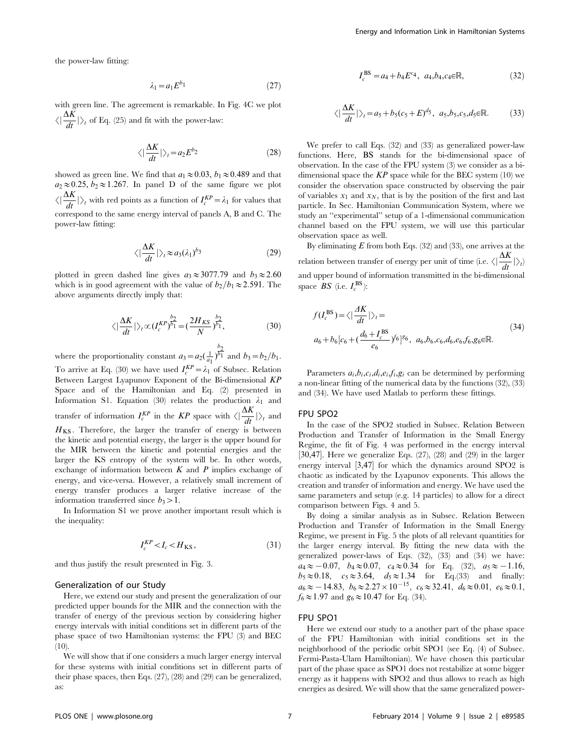the power-law fitting:

$$
\lambda_1 = a_1 E^{b_1} \tag{27}
$$

with green line. The agreement is remarkable. In Fig. 4C we plot  $\langle |\frac{\Delta K}{dt}| \rangle_t$  of Eq. (25) and fit with the power-law:

$$
\langle |\frac{\Delta K}{dt}| \rangle_t = a_2 E^{b_2} \tag{28}
$$

showed as green line. We find that  $a_1 \approx 0.03$ ,  $b_1 \approx 0.489$  and that  $a_2 \approx 0.25, b_2 \approx 1.267$ . In panel D of the same figure we plot  $\langle \left| \frac{\Delta K}{dt} \right| \rangle_t$  with red points as a function of  $I_c^{KP} = \lambda_1$  for values that correspond to the same energy interval of panels A, B and C. The power-law fitting:

$$
\langle \left| \frac{\Delta K}{dt} \right| \rangle_t \approx a_3 (\lambda_1)^{b_3} \tag{29}
$$

plotted in green dashed line gives  $a_3 \approx 3077.79$  and  $b_3 \approx 2.60$ which is in good agreement with the value of  $b_2/b_1 \approx 2.591$ . The above arguments directly imply that:

$$
\langle \left| \frac{\Delta K}{dt} \right| \rangle_t \propto (I_c^{KP})^{\frac{b_2}{b_1}} = \left( \frac{2H_{KS}}{N} \right)^{\frac{b_2}{b_1}},\tag{30}
$$

where the proportionality constant  $a_3 = a_2(\frac{1}{a_1})$  $\frac{b_2}{b_1}$  and  $b_3 = b_2/b_1$ . To arrive at Eq. (30) we have used  $I_c^{KP} = \lambda_1$  of Subsec. Relation Between Largest Lyapunov Exponent of the Bi-dimensional KP Space and of the Hamiltonian and Eq. (2) presented in Information S1. Equation (30) relates the production  $\lambda_1$  and transfer of information  $I_c^{KP}$  in the KP space with  $\langle \left| \frac{\Delta K}{dt} \right| \right>_{t}$  and  $H_{KS}$ . Therefore, the larger the transfer of energy is between the kinetic and potential energy, the larger is the upper bound for the MIR between the kinetic and potential energies and the larger the KS entropy of the system will be. In other words, exchange of information between  $K$  and  $P$  implies exchange of energy, and vice-versa. However, a relatively small increment of energy transfer produces a larger relative increase of the information transferred since  $b_3 > 1$ .

In Information S1 we prove another important result which is the inequality:

$$
I_c^{KP} < I_c < H_{KS},\tag{31}
$$

and thus justify the result presented in Fig. 3.

#### Generalization of our Study

Here, we extend our study and present the generalization of our predicted upper bounds for the MIR and the connection with the transfer of energy of the previous section by considering higher energy intervals with initial conditions set in different parts of the phase space of two Hamiltonian systems: the FPU (3) and BEC  $(10).$ 

We will show that if one considers a much larger energy interval for these systems with initial conditions set in different parts of their phase spaces, then Eqs. (27), (28) and (29) can be generalized, as:

$$
I_c^{\text{BS}} = a_4 + b_4 E^{c_4}, \ a_4, b_4, c_4 \in \mathbb{R}, \tag{32}
$$

$$
\langle \left| \frac{\Delta K}{dt} \right| \rangle_t = a_5 + b_5(c_5 + E)^{d_5}, \ a_5, b_5, c_5, d_5 \in \mathbb{R}.
$$
 (33)

We prefer to call Eqs. (32) and (33) as generalized power-law functions. Here, BS stands for the bi-dimensional space of observation. In the case of the FPU system (3) we consider as a bidimensional space the  $KP$  space while for the BEC system (10) we consider the observation space constructed by observing the pair of variables  $x_1$  and  $x_N$ , that is by the position of the first and last particle. In Sec. Hamiltonian Communication System, where we study an ''experimental'' setup of a 1-dimensional communication channel based on the FPU system, we will use this particular observation space as well.

By eliminating  $E$  from both Eqs. (32) and (33), one arrives at the relation between transfer of energy per unit of time (i.e.  $\langle | \frac{\Delta K}{dt} | \rangle_t$ ) and upper bound of information transmitted in the bi-dimensional space  $BS$  (i.e.  $I_c^{\text{BS}}$ ):

$$
f(I_c^{BS}) = \langle \left| \frac{4K}{dt} \right| \rangle_t =
$$
  
\n
$$
a_6 + b_6[c_6 + (\frac{d_6 + I_c^{BS}}{e_6})^{6}]^{86}, \ a_6, b_6, c_6, d_6, e_6, f_6, g_6 \in \mathbb{R}.
$$
\n(34)

Parameters  $a_i, b_i, c_i, d_i, e_i, f_i, g_i$  can be determined by performing a non-linear fitting of the numerical data by the functions (32), (33) and (34). We have used Matlab to perform these fittings.

## FPU SPO2

In the case of the SPO2 studied in Subsec. Relation Between Production and Transfer of Information in the Small Energy Regime, the fit of Fig. 4 was performed in the energy interval  $[30,47]$ . Here we generalize Eqs.  $(27)$ ,  $(28)$  and  $(29)$  in the larger energy interval  $[3,47]$  for which the dynamics around SPO2 is chaotic as indicated by the Lyapunov exponents. This allows the creation and transfer of information and energy. We have used the same parameters and setup (e.g. 14 particles) to allow for a direct comparison between Figs. 4 and 5.

By doing a similar analysis as in Subsec. Relation Between Production and Transfer of Information in the Small Energy Regime, we present in Fig. 5 the plots of all relevant quantities for the larger energy interval. By fitting the new data with the generalized power-laws of Eqs. (32), (33) and (34) we have:  $a_4 \approx -0.07$ ,  $b_4 \approx 0.07$ ,  $c_4 \approx 0.34$  for Eq. (32),  $a_5 \approx -1.16$ ,  $b_5 \approx 0.18$ ,  $c_5 \approx 3.64$ ,  $d_5 \approx 1.34$  for Eq.(33) and finally:  $a_6 \approx -14.83$ ,  $b_6 \approx 2.27 \times 10^{-15}$ ,  $c_6 \approx 32.41$ ,  $d_6 \approx 0.01$ ,  $e_6 \approx 0.1$ ,  $f_6 \approx 1.97$  and  $g_6 \approx 10.47$  for Eq. (34).

## FPU SPO1

Here we extend our study to a another part of the phase space of the FPU Hamiltonian with initial conditions set in the neighborhood of the periodic orbit SPO1 (see Eq. (4) of Subsec. Fermi-Pasta-Ulam Hamiltonian). We have chosen this particular part of the phase space as SPO1 does not restabilize at some bigger energy as it happens with SPO2 and thus allows to reach as high energies as desired. We will show that the same generalized power-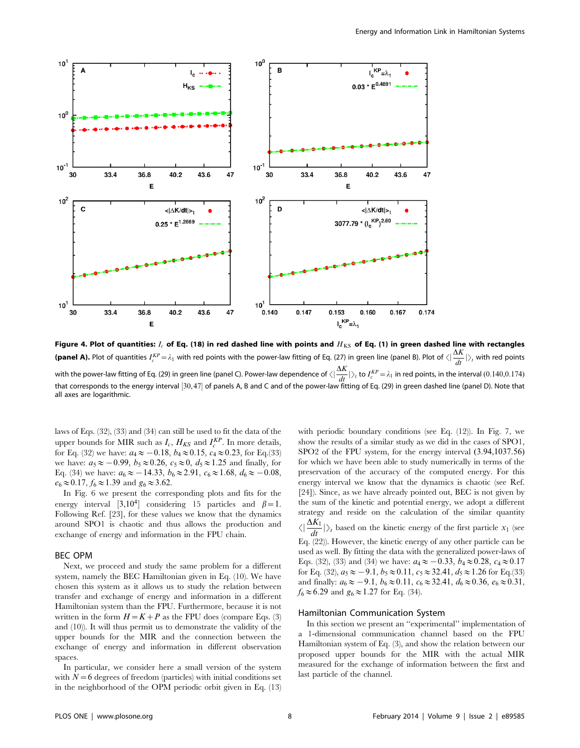

Figure 4. Plot of quantities:  $I_c$  of Eq. (18) in red dashed line with points and  $H_{KS}$  of Eq. (1) in green dashed line with rectangles **(panel A).** Plot of quantities  $I_c^{KP} = \lambda_1$  with red points with the power-law fitting of Eq. (27) in green line (panel B). Plot of  $\langle |\frac{\Delta K}{dt}| \rangle_t$  with red points with the power-law fitting of Eq. (29) in green line (panel C). Power-law dependence of  $\langle | \frac{\Delta K}{dt} | \rangle_t$  to  $I_c^{KP} = \lambda_1$  in red points, in the interval (0.140,0.174) that corresponds to the energy interval [30,47] of panels A, B and C and of the power-law fitting of Eq. (29) in green dashed line (panel D). Note that all axes are logarithmic.

laws of Eqs. (32), (33) and (34) can still be used to fit the data of the upper bounds for MIR such as  $I_c$ ,  $H_{KS}$  and  $I_c^{KP}$ . In more details, for Eq. (32) we have:  $a_4 \approx -0.18$ ,  $b_4 \approx 0.15$ ,  $c_4 \approx 0.23$ , for Eq.(33) we have:  $a_5 \approx -0.99$ ,  $b_5 \approx 0.26$ ,  $c_5 \approx 0$ ,  $d_5 \approx 1.25$  and finally, for Eq. (34) we have:  $a_6 \approx -14.33$ ,  $b_6 \approx 2.91$ ,  $c_6 \approx 1.68$ ,  $d_6 \approx -0.08$ ,  $e_6 \approx 0.17$ ,  $f_6 \approx 1.39$  and  $g_6 \approx 3.62$ .

In Fig. 6 we present the corresponding plots and fits for the energy interval  $[3,10^4]$  considering 15 particles and  $\beta=1$ . Following Ref. [23], for these values we know that the dynamics around SPO1 is chaotic and thus allows the production and exchange of energy and information in the FPU chain.

## BEC OPM

Next, we proceed and study the same problem for a different system, namely the BEC Hamiltonian given in Eq. (10). We have chosen this system as it allows us to study the relation between transfer and exchange of energy and information in a different Hamiltonian system than the FPU. Furthermore, because it is not written in the form  $H = K + P$  as the FPU does (compare Eqs. (3) and (10)). It will thus permit us to demonstrate the validity of the upper bounds for the MIR and the connection between the exchange of energy and information in different observation spaces.

In particular, we consider here a small version of the system with  $N=6$  degrees of freedom (particles) with initial conditions set in the neighborhood of the OPM periodic orbit given in Eq. (13)

with periodic boundary conditions (see Eq. (12)). In Fig. 7, we show the results of a similar study as we did in the cases of SPO1, SPO2 of the FPU system, for the energy interval (3:94,1037:56) for which we have been able to study numerically in terms of the preservation of the accuracy of the computed energy. For this energy interval we know that the dynamics is chaotic (see Ref. [24]). Since, as we have already pointed out, BEC is not given by the sum of the kinetic and potential energy, we adopt a different strategy and reside on the calculation of the similar quantity  $\langle \vert \frac{\Delta K_1}{dt} \vert \rangle_t$  based on the kinetic energy of the first particle  $x_1$  (see Eq. (22)). However, the kinetic energy of any other particle can be used as well. By fitting the data with the generalized power-laws of Eqs. (32), (33) and (34) we have:  $a_4 \approx -0.33$ ,  $b_4 \approx 0.28$ ,  $c_4 \approx 0.17$ for Eq. (32),  $a_5 \approx -9.1$ ,  $b_5 \approx 0.11$ ,  $c_5 \approx 32.41$ ,  $d_5 \approx 1.26$  for Eq.(33) and finally:  $a_6 \approx -9.1$ ,  $b_6 \approx 0.11$ ,  $c_6 \approx 32.41$ ,  $d_6 \approx 0.36$ ,  $e_6 \approx 0.31$ ,

 $f_6 \approx 6.29$  and  $g_6 \approx 1.27$  for Eq. (34).

# Hamiltonian Communication System

In this section we present an ''experimental'' implementation of a 1-dimensional communication channel based on the FPU Hamiltonian system of Eq. (3), and show the relation between our proposed upper bounds for the MIR with the actual MIR measured for the exchange of information between the first and last particle of the channel.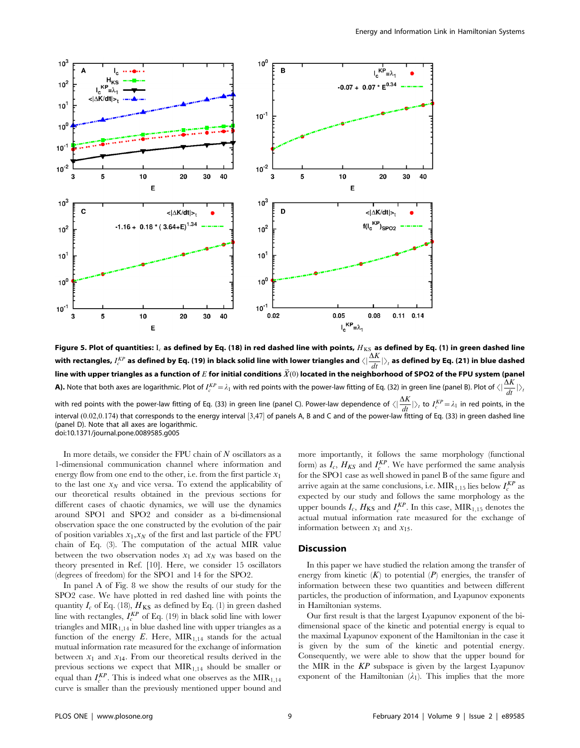

Figure 5. Plot of quantities: I<sub>c</sub> as defined by Eq. (18) in red dashed line with points,  $H_{KS}$  as defined by Eq. (1) in green dashed line with rectangles,  $I_c^{KP}$  as defined by Eq. (19) in black solid line with lower triangles and  $\langle|\frac{\Delta K}{dt}|\rangle_t$  as defined by Eq. (21) in blue dashed line with upper triangles as a function of E for initial conditions  $\vec{X}(0)$  located in the neighborhood of SPO2 of the FPU system (panel **A).** Note that both axes are logarithmic. Plot of  $I_c^{KP} = \lambda_1$  with red points with the power-law fitting of Eq. (32) in green line (panel B). Plot of  $\langle | \frac{\Delta K}{dt} | \rangle_i$ with red points with the power-law fitting of Eq. (33) in green line (panel C). Power-law dependence of  $\langle | \frac{\Delta K}{dt} | \rangle_t$  to  $I_c^{KP} \! = \! \lambda_1$  in red points, in the interval (0.02,0.174) that corresponds to the energy interval  $[3,47]$  of panels A, B and C and of the power-law fitting of Eq. (33) in green dashed line (panel D). Note that all axes are logarithmic. doi:10.1371/journal.pone.0089585.g005

In more details, we consider the FPU chain of  $N$  oscillators as a 1-dimensional communication channel where information and energy flow from one end to the other, i.e. from the first particle  $x_1$ to the last one  $x_N$  and vice versa. To extend the applicability of our theoretical results obtained in the previous sections for different cases of chaotic dynamics, we will use the dynamics around SPO1 and SPO2 and consider as a bi-dimensional observation space the one constructed by the evolution of the pair of position variables  $x_1, x_N$  of the first and last particle of the FPU chain of Eq. (3). The computation of the actual MIR value between the two observation nodes  $x_1$  ad  $x_N$  was based on the theory presented in Ref. [10]. Here, we consider 15 oscillators (degrees of freedom) for the SPO1 and 14 for the SPO2.

In panel A of Fig. 8 we show the results of our study for the SPO2 case. We have plotted in red dashed line with points the quantity  $I_c$  of Eq. (18),  $H_{KS}$  as defined by Eq. (1) in green dashed line with rectangles,  $I_c^{KP}$  of Eq. (19) in black solid line with lower triangles and  $MIR<sub>1,14</sub>$  in blue dashed line with upper triangles as a function of the energy  $E$ . Here,  $MIR<sub>1.14</sub>$  stands for the actual mutual information rate measured for the exchange of information between  $x_1$  and  $x_{14}$ . From our theoretical results derived in the previous sections we expect that  $MIR<sub>1,14</sub>$  should be smaller or equal than  $I_c^{KP}$ . This is indeed what one observes as the  $MIR_{1,14}$ curve is smaller than the previously mentioned upper bound and

more importantly, it follows the same morphology (functional form) as  $I_c$ ,  $H_{KS}$  and  $I_c^{KP}$ . We have performed the same analysis for the SPO1 case as well showed in panel B of the same figure and arrive again at the same conclusions, i.e.  $\text{MIR}_{1,15}$  lies below  $I_c^{KP}$  as expected by our study and follows the same morphology as the upper bounds  $I_c$ ,  $H_{\text{KS}}$  and  $I_c^{KP}$ . In this case,  $\text{MIR}_{1,15}$  denotes the actual mutual information rate measured for the exchange of information between  $x_1$  and  $x_1$ .

## Discussion

In this paper we have studied the relation among the transfer of energy from kinetic  $(K)$  to potential  $(P)$  energies, the transfer of information between these two quantities and between different particles, the production of information, and Lyapunov exponents in Hamiltonian systems.

Our first result is that the largest Lyapunov exponent of the bidimensional space of the kinetic and potential energy is equal to the maximal Lyapunov exponent of the Hamiltonian in the case it is given by the sum of the kinetic and potential energy. Consequently, we were able to show that the upper bound for the MIR in the  $KP$  subspace is given by the largest Lyapunov exponent of the Hamiltonian  $(\lambda_1)$ . This implies that the more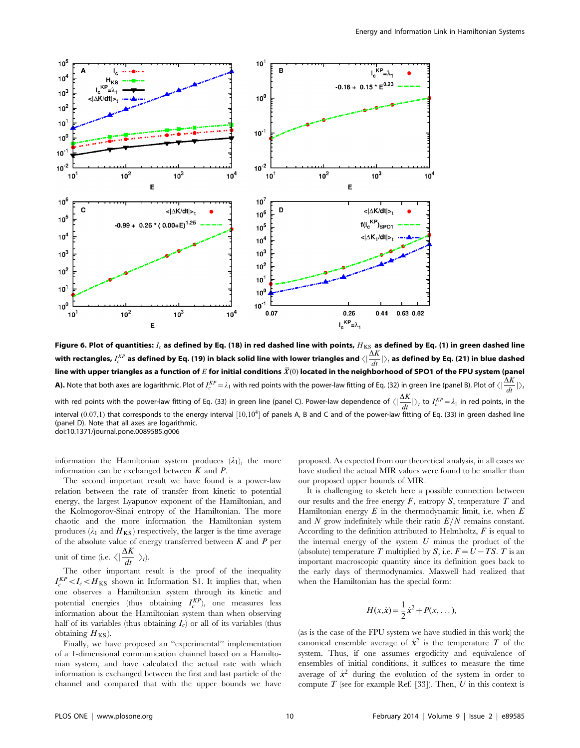

Figure 6. Plot of quantities:  $I_c$  as defined by Eq. (18) in red dashed line with points,  $H_{KS}$  as defined by Eq. (1) in green dashed line with rectangles,  $I_c^{KP}$  as defined by Eq. (19) in black solid line with lower triangles and  $\langle|\frac{\Delta K}{dt}|\rangle_t$  as defined by Eq. (21) in blue dashed line with upper triangles as a function of  $E$  for initial conditions  $\vec{X}(0)$  located in the neighborhood of SPO1 of the FPU system (panel **A).** Note that both axes are logarithmic. Plot of  $I_c^{KP} = \lambda_1$  with red points with the power-law fitting of Eq. (32) in green line (panel B). Plot of  $\langle | \frac{\Delta K}{dt} | \rangle_i$ with red points with the power-law fitting of Eq. (33) in green line (panel C). Power-law dependence of  $\langle | \frac{\Delta K}{dt} | \rangle_t$  to  $I_c^{KP}$   $=$   $\lambda_1$  in red points, in the interval  $(0.07,1)$  that corresponds to the energy interval  $[10,10^4]$  of panels A, B and C and of the power-law fitting of Eq. (33) in green dashed line (panel D). Note that all axes are logarithmic. doi:10.1371/journal.pone.0089585.g006

information the Hamiltonian system produces  $(\lambda_1)$ , the more information can be exchanged between  $K$  and  $P$ .

The second important result we have found is a power-law relation between the rate of transfer from kinetic to potential energy, the largest Lyapunov exponent of the Hamiltonian, and the Kolmogorov-Sinai entropy of the Hamiltonian. The more chaotic and the more information the Hamiltonian system produces ( $\lambda_1$  and  $H_{KS}$ ) respectively, the larger is the time average of the absolute value of energy transferred between  $K$  and  $P$  per unit of time (i.e.  $\langle |\frac{\Delta K}{dt}| \rangle_t$ ).

The other important result is the proof of the inequality  $I_c^{KP} < I_c < H_{KS}$  shown in Information S1. It implies that, when one observes a Hamiltonian system through its kinetic and potential energies (thus obtaining  $I_c^{KP}$ ), one measures less information about the Hamiltonian system than when observing half of its variables (thus obtaining  $I_c$ ) or all of its variables (thus obtaining  $H_{KS}$ ).

Finally, we have proposed an ''experimental'' implementation of a 1-dimensional communication channel based on a Hamiltonian system, and have calculated the actual rate with which information is exchanged between the first and last particle of the channel and compared that with the upper bounds we have

proposed. As expected from our theoretical analysis, in all cases we have studied the actual MIR values were found to be smaller than our proposed upper bounds of MIR.

It is challenging to sketch here a possible connection between our results and the free energy  $F$ , entropy  $S$ , temperature  $T$  and Hamiltonian energy  $E$  in the thermodynamic limit, i.e. when  $E$ and N grow indefinitely while their ratio  $E/N$  remains constant. According to the definition attributed to Helmholtz,  $F$  is equal to the internal energy of the system  $U$  minus the product of the (absolute) temperature T multiplied by S, i.e.  $F = U - TS$ . T is an important macroscopic quantity since its definition goes back to the early days of thermodynamics. Maxwell had realized that when the Hamiltonian has the special form:

$$
H(x,\dot{x}) = \frac{1}{2}\dot{x}^2 + P(x,\dots),
$$

(as is the case of the FPU system we have studied in this work) the canonical ensemble average of  $\dot{x}^2$  is the temperature T of the system. Thus, if one assumes ergodicity and equivalence of ensembles of initial conditions, it suffices to measure the time average of  $\dot{x}^2$  during the evolution of the system in order to compute  $T$  (see for example Ref. [33]). Then,  $U$  in this context is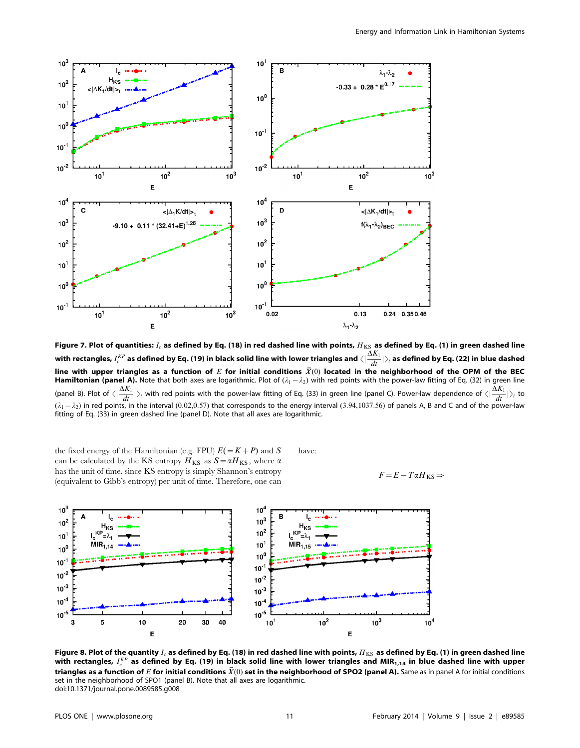

Figure 7. Plot of quantities:  $I_c$  as defined by Eq. (18) in red dashed line with points,  $H_{KS}$  as defined by Eq. (1) in green dashed line with rectangles,  $I_c^{KP}$  as defined by Eq. (19) in black solid line with lower triangles and  $\langle|\frac{\Delta K_1}{dt}|\rangle_i$  as defined by Eq. (22) in blue dashed line with upper triangles as a function of E for initial conditions  $\vec{X}(0)$  located in the neighborhood of the OPM of the BEC Hamiltonian (panel A). Note that both axes are logarithmic. Plot of  $(\lambda_1 - \lambda_2)$  with red points with the power-law fitting of Eq. (32) in green line (panel B). Plot of  $\langle \frac{\Delta K_1}{dt} | \rangle_t$  with red points with the power-law fitting of Eq. (33) in green line (panel C). Power-law dependence of  $\langle \frac{\Delta K_1}{dt} | \rangle_t$  to  $(\lambda_1-\lambda_2)$  in red points, in the interval (0.02,0.57) that corresponds to the energy interval (3.94,1037.56) of panels A, B and C and of the power-law fitting of Eq. (33) in green dashed line (panel D). Note that all axes are logarithmic.

the fixed energy of the Hamiltonian (e.g. FPU)  $E(=K+P)$  and S can be calculated by the KS entropy  $H_{KS}$  as  $S = \alpha H_{KS}$ , where  $\alpha$ has the unit of time, since KS entropy is simply Shannon's entropy (equivalent to Gibb's entropy) per unit of time. Therefore, one can have:

$$
F\!=\!E-T\alpha H_{\rm KS}\!\Rightarrow
$$



Figure 8. Plot of the quantity  $I_c$  as defined by Eq. (18) in red dashed line with points,  $H_{KS}$  as defined by Eq. (1) in green dashed line with rectangles,  $I^{KP}_c$  as defined by Eq. (19) in black solid line with lower triangles and MIR $_{\bf 1,14}$  in blue dashed line with upper triangles as a function of E for initial conditions  $\vec{X}(0)$  set in the neighborhood of SPO2 (panel A). Same as in panel A for initial conditions set in the neighborhood of SPO1 (panel B). Note that all axes are logarithmic. doi:10.1371/journal.pone.0089585.g008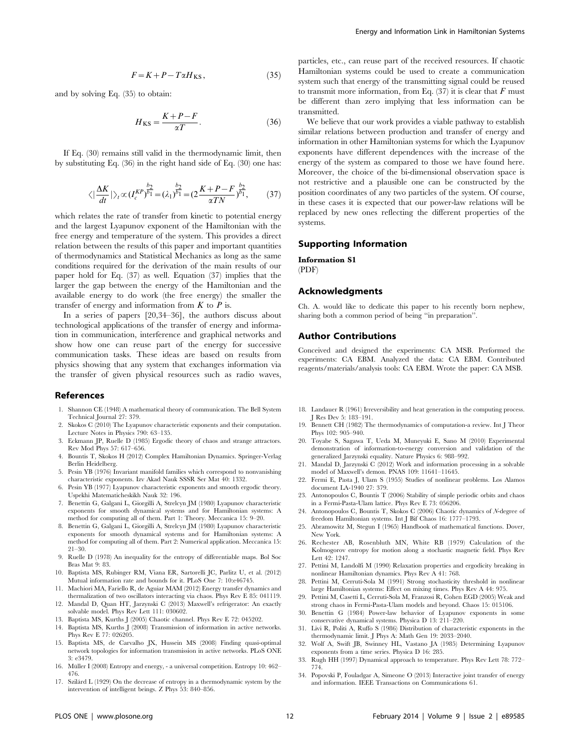$$
F = K + P - T\alpha H_{KS},\tag{35}
$$

and by solving Eq. (35) to obtain:

$$
H_{\rm KS} = \frac{K + P - F}{\alpha T}.
$$
 (36)

If Eq. (30) remains still valid in the thermodynamic limit, then by substituting Eq. (36) in the right hand side of Eq. (30) one has:

$$
\langle \left| \frac{\Delta K}{dt} \right| \rangle_t \propto (I_c^{KP})^{\frac{b_2}{b_1}} = (\lambda_1)^{\frac{b_2}{b_1}} = (2\frac{K+P-F}{\alpha TN})^{\frac{b_2}{b_1}},\tag{37}
$$

which relates the rate of transfer from kinetic to potential energy and the largest Lyapunov exponent of the Hamiltonian with the free energy and temperature of the system. This provides a direct relation between the results of this paper and important quantities of thermodynamics and Statistical Mechanics as long as the same conditions required for the derivation of the main results of our paper hold for Eq. (37) as well. Equation (37) implies that the larger the gap between the energy of the Hamiltonian and the available energy to do work (the free energy) the smaller the transfer of energy and information from  $K$  to  $P$  is.

In a series of papers [20,34–36], the authors discuss about technological applications of the transfer of energy and information in communication, interference and graphical networks and show how one can reuse part of the energy for successive communication tasks. These ideas are based on results from physics showing that any system that exchanges information via the transfer of given physical resources such as radio waves,

#### References

- 1. Shannon CE (1948) A mathematical theory of communication. The Bell System Technical Journal 27: 379.
- 2. Skokos C (2010) The Lyapunov characteristic exponents and their computation. Lecture Notes in Physics 790: 63–135.
- 3. Eckmann JP, Ruelle D (1985) Ergodic theory of chaos and strange attractors. Rev Mod Phys 57: 617–656.
- 4. Bountis T, Skokos H (2012) Complex Hamiltonian Dynamics. Springer-Verlag Berlin Heidelberg.
- 5. Pesin YB (1976) Invariant manifold families which correspond to nonvanishing characteristic exponents. Izv Akad Nauk SSSR Ser Mat 40: 1332.
- 6. Pesin YB (1977) Lyapunov characteristic exponents and smooth ergodic theory. Uspekhi Matematicheskikh Nauk 32: 196.
- 7. Benettin G, Galgani L, Giorgilli A, Strelcyn JM (1980) Lyapunov characteristic exponents for smooth dynamical systems and for Hamiltonian systems: A method for computing all of them. Part 1: Theory. Meccanica 15: 9–20.
- 8. Benettin G, Galgani L, Giorgilli A, Strelcyn JM (1980) Lyapunov characteristic exponents for smooth dynamical systems and for Hamiltonian systems: A method for computing all of them. Part 2: Numerical application. Meccanica 15: 21–30.
- 9. Ruelle D (1978) An inequality for the entropy of differentiable maps. Bol Soc Bras Mat 9: 83.
- 10. Baptista MS, Rubinger RM, Viana ER, Sartorelli JC, Parlitz U, et al. (2012) Mutual information rate and bounds for it. PLoS One 7: 10:e46745.
- 11. Machiori MA, Fariello R, de Aguiar MAM (2012) Energy transfer dynamics and thermalization of two oscillators interacting via chaos. Phys Rev E 85: 041119.
- 12. Mandal D, Quan HT, Jarzynski C (2013) Maxwell's refrigerator: An exactly solvable model. Phys Rev Lett 111: 030602.
- 13. Baptista MS, Kurths J (2005) Chaotic channel. Phys Rev E 72: 045202.
- Baptista MS, Kurths J (2008) Transmission of information in active networks. Phys Rev E 77: 026205.
- 15. Baptista MS, de Carvalho JX, Hussein MS (2008) Finding quasi-optimal network topologies for information transmission in active networks. PLoS ONE 3: e3479.
- 16. Müller I (2008) Entropy and energy, a universal competition. Entropy 10: 462– 476.
- 17. Szila´rd L (1929) On the decrease of entropy in a thermodynamic system by the intervention of intelligent beings. Z Phys 53: 840–856.

particles, etc., can reuse part of the received resources. If chaotic Hamiltonian systems could be used to create a communication system such that energy of the transmitting signal could be reused to transmit more information, from Eq.  $(37)$  it is clear that F must be different than zero implying that less information can be transmitted.

We believe that our work provides a viable pathway to establish similar relations between production and transfer of energy and information in other Hamiltonian systems for which the Lyapunov exponents have different dependences with the increase of the energy of the system as compared to those we have found here. Moreover, the choice of the bi-dimensional observation space is not restrictive and a plausible one can be constructed by the position coordinates of any two particles of the system. Of course, in these cases it is expected that our power-law relations will be replaced by new ones reflecting the different properties of the systems.

## Supporting Information

#### Information S1

(PDF)

#### Acknowledgments

Ch. A. would like to dedicate this paper to his recently born nephew, sharing both a common period of being ''in preparation''.

## Author Contributions

Conceived and designed the experiments: CA MSB. Performed the experiments: CA EBM. Analyzed the data: CA EBM. Contributed reagents/materials/analysis tools: CA EBM. Wrote the paper: CA MSB.

- 18. Landauer R (1961) Irreversibility and heat generation in the computing process. J Res Dev 5: 183–191.
- 19. Bennett CH (1982) The thermodynamics of computation-a review. Int J Theor Phys 102: 905–940.
- 20. Toyabe S, Sagawa T, Ueda M, Muneyuki E, Sano M (2010) Experimental demonstration of information-to-energy conversion and validation of the generalized Jarzynski equality. Nature Physics 6: 988–992.
- 21. Mandal D, Jarzynski C (2012) Work and information processing in a solvable model of Maxwell's demon. PNAS 109: 11641–11645.
- 22. Fermi E, Pasta J, Ulam S (1955) Studies of nonlinear problems. Los Alamos document LA-1940 27: 379.
- 23. Antonopoulos C, Bountis T (2006) Stability of simple periodic orbits and chaos in a Fermi-Pasta-Ulam lattice. Phys Rev E 73: 056206.
- 24. Antonopoulos C, Bountis T, Skokos C (2006) Chaotic dynamics of N-degree of freedom Hamiltonian systems. Int J Bif Chaos 16: 1777–1793.
- 25. Abramowitz M, Stegun I (1965) Handbook of mathematical functions. Dover, New York.
- 26. Rechester AB, Rosenbluth MN, White RB (1979) Calculation of the Kolmogorov entropy for motion along a stochastic magnetic field. Phys Rev Lett 42: 1247.
- 27. Pettini M, Landolfi M (1990) Relaxation properties and ergodicity breaking in nonlinear Hamiltonian dynamics. Phys Rev A 41: 768.
- 28. Pettini M, Cerruti-Sola M (1991) Strong stochasticity threshold in nonlinear large Hamiltonian systems: Effect on mixing times. Phys Rev A 44: 975.
- 29. Pettini M, Casetti L, Cerruti-Sola M, Franzosi R, Cohen EGD (2005) Weak and strong chaos in Fermi-Pasta-Ulam models and beyond. Chaos 15: 015106.
- 30. Benettin G (1984) Power-law behavior of Lyapunov exponents in some conservative dynamical systems. Physica D 13: 211–220.
- 31. Livi R, Politi A, Ruffo S (1986) Distribution of characteristic exponents in the thermodynamic limit. J Phys A: Math Gen 19: 2033–2040.
- 32. Wolf A, Swift JB, Swinney HL, Vastano JA (1985) Determining Lyapunov exponents from a time series. Physica D 16: 285.
- 33. Rugh HH (1997) Dynamical approach to temperature. Phys Rev Lett 78: 772– 774.
- 34. Popovski P, Fouladgar A, Simeone O (2013) Interactive joint transfer of energy and information. IEEE Transactions on Communications 61.